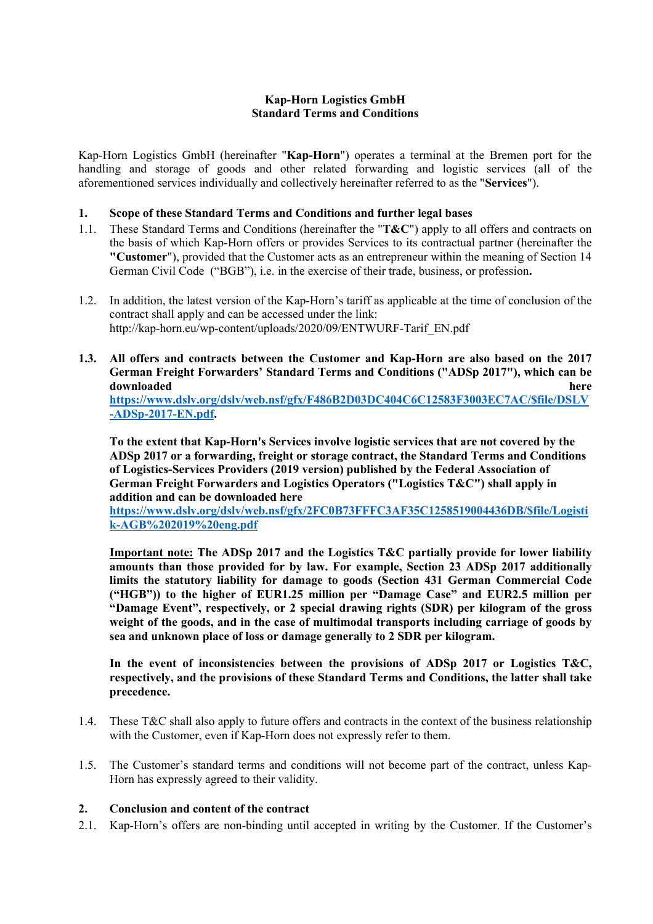## **Kap-Horn Logistics GmbH Standard Terms and Conditions**

Kap-Horn Logistics GmbH (hereinafter "**Kap-Horn**") operates a terminal at the Bremen port for the handling and storage of goods and other related forwarding and logistic services (all of the aforementioned services individually and collectively hereinafter referred to as the "**Services**").

### **1. Scope of these Standard Terms and Conditions and further legal bases**

- 1.1. These Standard Terms and Conditions (hereinafter the "**T&C**") apply to all offers and contracts on the basis of which Kap-Horn offers or provides Services to its contractual partner (hereinafter the **"Customer**"), provided that the Customer acts as an entrepreneur within the meaning of Section 14 German Civil Code ("BGB"), i.e. in the exercise of their trade, business, or profession**.**
- 1.2. In addition, the latest version of the Kap-Horn's tariff as applicable at the time of conclusion of the contract shall apply and can be accessed under the link: http://kap-horn.eu/wp-content/uploads/2020/09/ENTWURF-Tarif\_EN.pdf
- **1.3. All offers and contracts between the Customer and Kap-Horn are also based on the 2017 German Freight Forwarders' Standard Terms and Conditions ("ADSp 2017"), which can be downloaded here here here here here here here here here here here here here here here https://www.dslv.org/dslv/web.nsf/gfx/F486B2D03DC404C6C12583F3003EC7AC/\$file/DSLV -ADSp-2017-EN.pdf.**

**To the extent that Kap-Horn's Services involve logistic services that are not covered by the ADSp 2017 or a forwarding, freight or storage contract, the Standard Terms and Conditions of Logistics-Services Providers (2019 version) published by the Federal Association of German Freight Forwarders and Logistics Operators ("Logistics T&C") shall apply in addition and can be downloaded here**

**https://www.dslv.org/dslv/web.nsf/gfx/2FC0B73FFFC3AF35C1258519004436DB/\$file/Logisti k-AGB%202019%20eng.pdf**

**Important note: The ADSp 2017 and the Logistics T&C partially provide for lower liability amounts than those provided for by law. For example, Section 23 ADSp 2017 additionally limits the statutory liability for damage to goods (Section 431 German Commercial Code ("HGB")) to the higher of EUR1.25 million per "Damage Case" and EUR2.5 million per "Damage Event", respectively, or 2 special drawing rights (SDR) per kilogram of the gross weight of the goods, and in the case of multimodal transports including carriage of goods by sea and unknown place of loss or damage generally to 2 SDR per kilogram.**

**In the event of inconsistencies between the provisions of ADSp 2017 or Logistics T&C, respectively, and the provisions of these Standard Terms and Conditions, the latter shall take precedence.**

- 1.4. These T&C shall also apply to future offers and contracts in the context of the business relationship with the Customer, even if Kap-Horn does not expressly refer to them.
- 1.5. The Customer's standard terms and conditions will not become part of the contract, unless Kap-Horn has expressly agreed to their validity.

### **2. Conclusion and content of the contract**

2.1. Kap-Horn's offers are non-binding until accepted in writing by the Customer. If the Customer's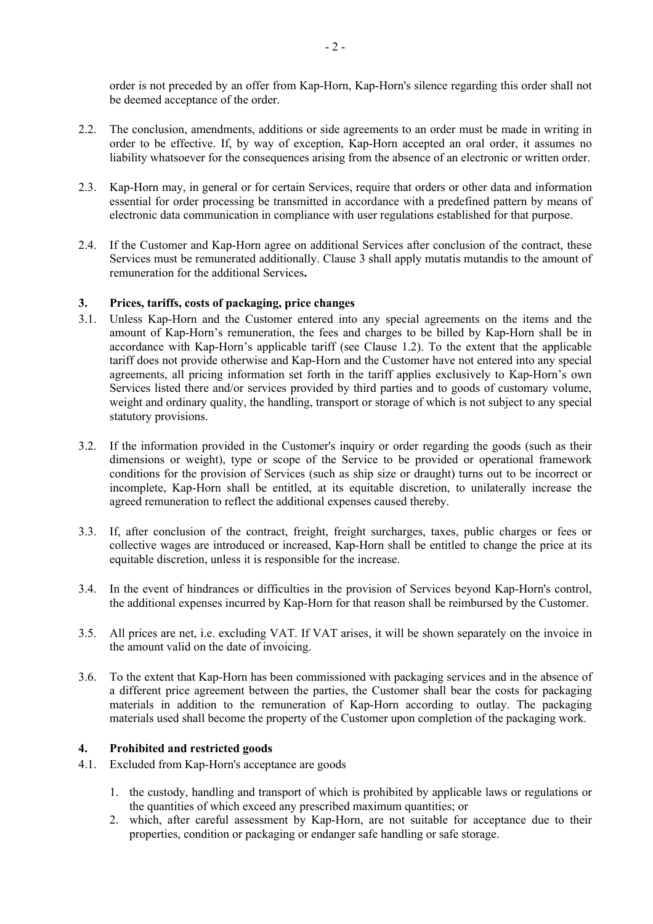order is not preceded by an offer from Kap-Horn, Kap-Horn's silence regarding this order shall not be deemed acceptance of the order.

- 2.2. The conclusion, amendments, additions or side agreements to an order must be made in writing in order to be effective. If, by way of exception, Kap-Horn accepted an oral order, it assumes no liability whatsoever for the consequences arising from the absence of an electronic or written order.
- 2.3. Kap-Horn may, in general or for certain Services, require that orders or other data and information essential for order processing be transmitted in accordance with a predefined pattern by means of electronic data communication in compliance with user regulations established for that purpose.
- 2.4. If the Customer and Kap-Horn agree on additional Services after conclusion of the contract, these Services must be remunerated additionally. Clause 3 shall apply mutatis mutandis to the amount of remuneration for the additional Services**.**

### **3. Prices, tariffs, costs of packaging, price changes**

- 3.1. Unless Kap-Horn and the Customer entered into any special agreements on the items and the amount of Kap-Horn's remuneration, the fees and charges to be billed by Kap-Horn shall be in accordance with Kap-Horn's applicable tariff (see Clause 1.2). To the extent that the applicable tariff does not provide otherwise and Kap-Horn and the Customer have not entered into any special agreements, all pricing information set forth in the tariff applies exclusively to Kap-Horn's own Services listed there and/or services provided by third parties and to goods of customary volume, weight and ordinary quality, the handling, transport or storage of which is not subject to any special statutory provisions.
- 3.2. If the information provided in the Customer's inquiry or order regarding the goods (such as their dimensions or weight), type or scope of the Service to be provided or operational framework conditions for the provision of Services (such as ship size or draught) turns out to be incorrect or incomplete, Kap-Horn shall be entitled, at its equitable discretion, to unilaterally increase the agreed remuneration to reflect the additional expenses caused thereby.
- 3.3. If, after conclusion of the contract, freight, freight surcharges, taxes, public charges or fees or collective wages are introduced or increased, Kap-Horn shall be entitled to change the price at its equitable discretion, unless it is responsible for the increase.
- 3.4. In the event of hindrances or difficulties in the provision of Services beyond Kap-Horn's control, the additional expenses incurred by Kap-Horn for that reason shall be reimbursed by the Customer.
- 3.5. All prices are net, i.e. excluding VAT. If VAT arises, it will be shown separately on the invoice in the amount valid on the date of invoicing.
- 3.6. To the extent that Kap-Horn has been commissioned with packaging services and in the absence of a different price agreement between the parties, the Customer shall bear the costs for packaging materials in addition to the remuneration of Kap-Horn according to outlay. The packaging materials used shall become the property of the Customer upon completion of the packaging work.

### **4. Prohibited and restricted goods**

- 4.1. Excluded from Kap-Horn's acceptance are goods
	- 1. the custody, handling and transport of which is prohibited by applicable laws or regulations or the quantities of which exceed any prescribed maximum quantities; or
	- 2. which, after careful assessment by Kap-Horn, are not suitable for acceptance due to their properties, condition or packaging or endanger safe handling or safe storage.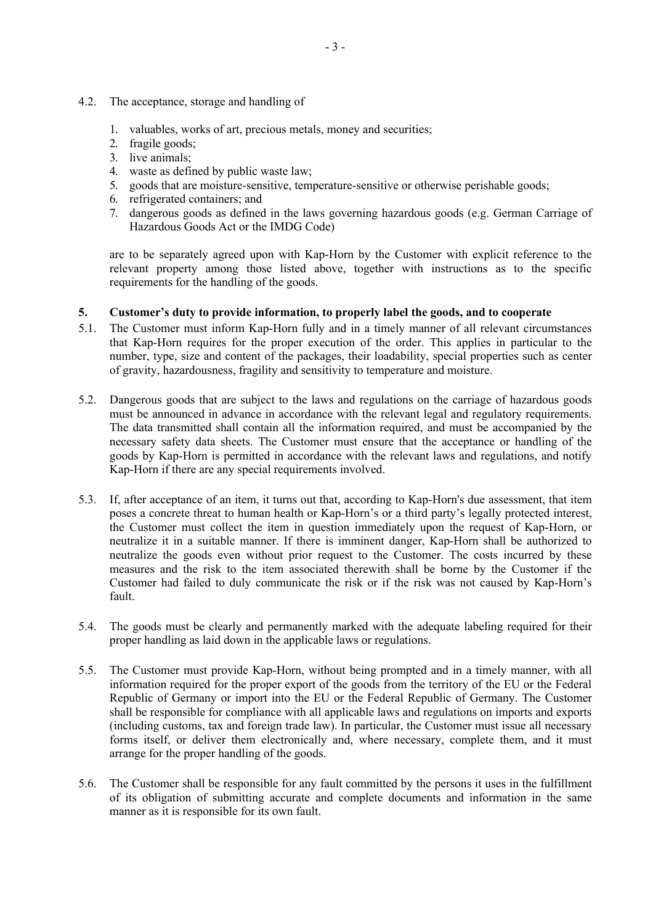- 1. valuables, works of art, precious metals, money and securities;
- 2. fragile goods;
- 3. live animals;
- 4. waste as defined by public waste law;
- 5. goods that are moisture-sensitive, temperature-sensitive or otherwise perishable goods;
- 6. refrigerated containers; and
- 7. dangerous goods as defined in the laws governing hazardous goods (e.g. German Carriage of Hazardous Goods Act or the IMDG Code)

are to be separately agreed upon with Kap-Horn by the Customer with explicit reference to the relevant property among those listed above, together with instructions as to the specific requirements for the handling of the goods.

# **5. Customer's duty to provide information, to properly label the goods, and to cooperate**

- 5.1. The Customer must inform Kap-Horn fully and in a timely manner of all relevant circumstances that Kap-Horn requires for the proper execution of the order. This applies in particular to the number, type, size and content of the packages, their loadability, special properties such as center of gravity, hazardousness, fragility and sensitivity to temperature and moisture.
- 5.2. Dangerous goods that are subject to the laws and regulations on the carriage of hazardous goods must be announced in advance in accordance with the relevant legal and regulatory requirements. The data transmitted shall contain all the information required, and must be accompanied by the necessary safety data sheets. The Customer must ensure that the acceptance or handling of the goods by Kap-Horn is permitted in accordance with the relevant laws and regulations, and notify Kap-Horn if there are any special requirements involved.
- 5.3. If, after acceptance of an item, it turns out that, according to Kap-Horn's due assessment, that item poses a concrete threat to human health or Kap-Horn's or a third party's legally protected interest, the Customer must collect the item in question immediately upon the request of Kap-Horn, or neutralize it in a suitable manner. If there is imminent danger, Kap-Horn shall be authorized to neutralize the goods even without prior request to the Customer. The costs incurred by these measures and the risk to the item associated therewith shall be borne by the Customer if the Customer had failed to duly communicate the risk or if the risk was not caused by Kap-Horn's fault.
- 5.4. The goods must be clearly and permanently marked with the adequate labeling required for their proper handling as laid down in the applicable laws or regulations.
- 5.5. The Customer must provide Kap-Horn, without being prompted and in a timely manner, with all information required for the proper export of the goods from the territory of the EU or the Federal Republic of Germany or import into the EU or the Federal Republic of Germany. The Customer shall be responsible for compliance with all applicable laws and regulations on imports and exports (including customs, tax and foreign trade law). In particular, the Customer must issue all necessary forms itself, or deliver them electronically and, where necessary, complete them, and it must arrange for the proper handling of the goods.
- 5.6. The Customer shall be responsible for any fault committed by the persons it uses in the fulfillment of its obligation of submitting accurate and complete documents and information in the same manner as it is responsible for its own fault.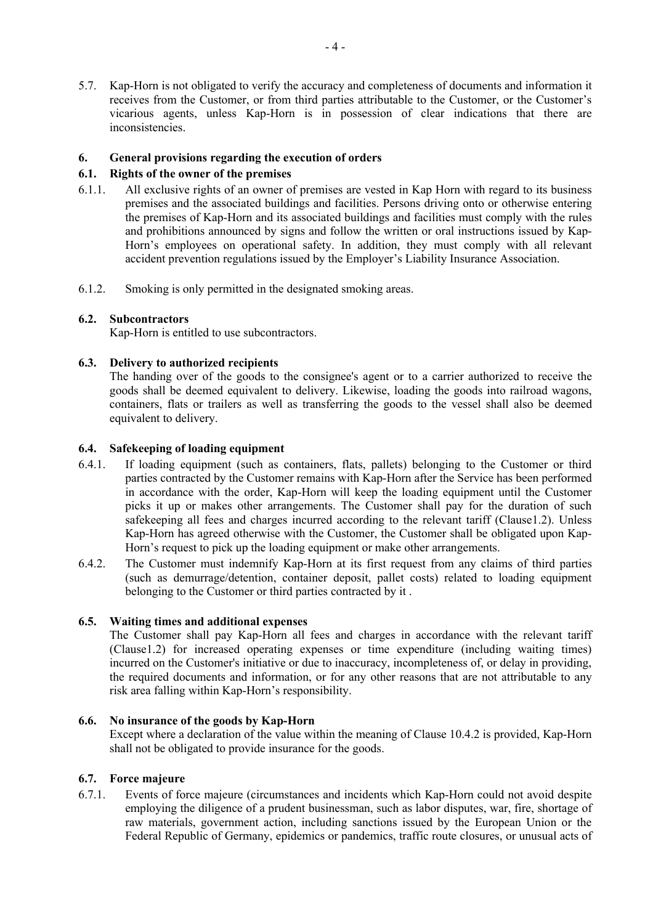5.7. Kap-Horn is not obligated to verify the accuracy and completeness of documents and information it receives from the Customer, or from third parties attributable to the Customer, or the Customer's vicarious agents, unless Kap-Horn is in possession of clear indications that there are inconsistencies.

## **6. General provisions regarding the execution of orders**

### **6.1. Rights of the owner of the premises**

- 6.1.1. All exclusive rights of an owner of premises are vested in Kap Horn with regard to its business premises and the associated buildings and facilities. Persons driving onto or otherwise entering the premises of Kap-Horn and its associated buildings and facilities must comply with the rules and prohibitions announced by signs and follow the written or oral instructions issued by Kap-Horn's employees on operational safety. In addition, they must comply with all relevant accident prevention regulations issued by the Employer's Liability Insurance Association.
- 6.1.2. Smoking is only permitted in the designated smoking areas.

### **6.2. Subcontractors**

Kap-Horn is entitled to use subcontractors.

### **6.3. Delivery to authorized recipients**

The handing over of the goods to the consignee's agent or to a carrier authorized to receive the goods shall be deemed equivalent to delivery. Likewise, loading the goods into railroad wagons, containers, flats or trailers as well as transferring the goods to the vessel shall also be deemed equivalent to delivery.

### **6.4. Safekeeping of loading equipment**

- 6.4.1. If loading equipment (such as containers, flats, pallets) belonging to the Customer or third parties contracted by the Customer remains with Kap-Horn after the Service has been performed in accordance with the order, Kap-Horn will keep the loading equipment until the Customer picks it up or makes other arrangements. The Customer shall pay for the duration of such safekeeping all fees and charges incurred according to the relevant tariff (Clause1.2). Unless Kap-Horn has agreed otherwise with the Customer, the Customer shall be obligated upon Kap-Horn's request to pick up the loading equipment or make other arrangements.
- 6.4.2. The Customer must indemnify Kap-Horn at its first request from any claims of third parties (such as demurrage/detention, container deposit, pallet costs) related to loading equipment belonging to the Customer or third parties contracted by it .

### **6.5. Waiting times and additional expenses**

The Customer shall pay Kap-Horn all fees and charges in accordance with the relevant tariff (Clause1.2) for increased operating expenses or time expenditure (including waiting times) incurred on the Customer's initiative or due to inaccuracy, incompleteness of, or delay in providing, the required documents and information, or for any other reasons that are not attributable to any risk area falling within Kap-Horn's responsibility.

### **6.6. No insurance of the goods by Kap-Horn**

Except where a declaration of the value within the meaning of Clause 10.4.2 is provided, Kap-Horn shall not be obligated to provide insurance for the goods.

### **6.7. Force majeure**

6.7.1. Events of force majeure (circumstances and incidents which Kap-Horn could not avoid despite employing the diligence of a prudent businessman, such as labor disputes, war, fire, shortage of raw materials, government action, including sanctions issued by the European Union or the Federal Republic of Germany, epidemics or pandemics, traffic route closures, or unusual acts of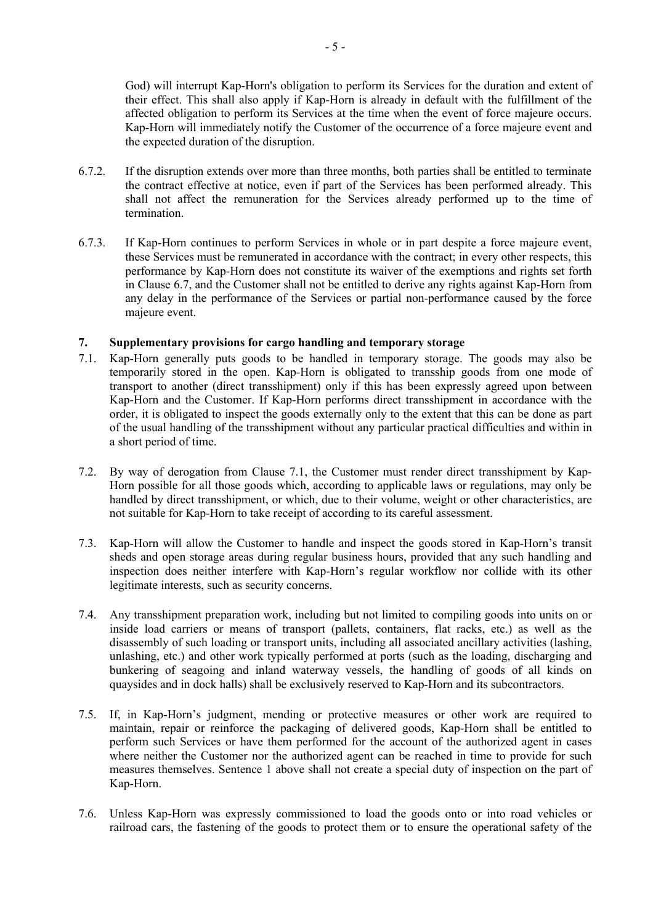God) will interrupt Kap-Horn's obligation to perform its Services for the duration and extent of their effect. This shall also apply if Kap-Horn is already in default with the fulfillment of the affected obligation to perform its Services at the time when the event of force majeure occurs. Kap-Horn will immediately notify the Customer of the occurrence of a force majeure event and the expected duration of the disruption.

- 6.7.2. If the disruption extends over more than three months, both parties shall be entitled to terminate the contract effective at notice, even if part of the Services has been performed already. This shall not affect the remuneration for the Services already performed up to the time of termination.
- 6.7.3. If Kap-Horn continues to perform Services in whole or in part despite a force majeure event, these Services must be remunerated in accordance with the contract; in every other respects, this performance by Kap-Horn does not constitute its waiver of the exemptions and rights set forth in Clause 6.7, and the Customer shall not be entitled to derive any rights against Kap-Horn from any delay in the performance of the Services or partial non-performance caused by the force majeure event.

### **7. Supplementary provisions for cargo handling and temporary storage**

- 7.1. Kap-Horn generally puts goods to be handled in temporary storage. The goods may also be temporarily stored in the open. Kap-Horn is obligated to transship goods from one mode of transport to another (direct transshipment) only if this has been expressly agreed upon between Kap-Horn and the Customer. If Kap-Horn performs direct transshipment in accordance with the order, it is obligated to inspect the goods externally only to the extent that this can be done as part of the usual handling of the transshipment without any particular practical difficulties and within in a short period of time.
- 7.2. By way of derogation from Clause 7.1, the Customer must render direct transshipment by Kap-Horn possible for all those goods which, according to applicable laws or regulations, may only be handled by direct transshipment, or which, due to their volume, weight or other characteristics, are not suitable for Kap-Horn to take receipt of according to its careful assessment.
- 7.3. Kap-Horn will allow the Customer to handle and inspect the goods stored in Kap-Horn's transit sheds and open storage areas during regular business hours, provided that any such handling and inspection does neither interfere with Kap-Horn's regular workflow nor collide with its other legitimate interests, such as security concerns.
- 7.4. Any transshipment preparation work, including but not limited to compiling goods into units on or inside load carriers or means of transport (pallets, containers, flat racks, etc.) as well as the disassembly of such loading or transport units, including all associated ancillary activities (lashing, unlashing, etc.) and other work typically performed at ports (such as the loading, discharging and bunkering of seagoing and inland waterway vessels, the handling of goods of all kinds on quaysides and in dock halls) shall be exclusively reserved to Kap-Horn and its subcontractors.
- 7.5. If, in Kap-Horn's judgment, mending or protective measures or other work are required to maintain, repair or reinforce the packaging of delivered goods, Kap-Horn shall be entitled to perform such Services or have them performed for the account of the authorized agent in cases where neither the Customer nor the authorized agent can be reached in time to provide for such measures themselves. Sentence 1 above shall not create a special duty of inspection on the part of Kap-Horn.
- 7.6. Unless Kap-Horn was expressly commissioned to load the goods onto or into road vehicles or railroad cars, the fastening of the goods to protect them or to ensure the operational safety of the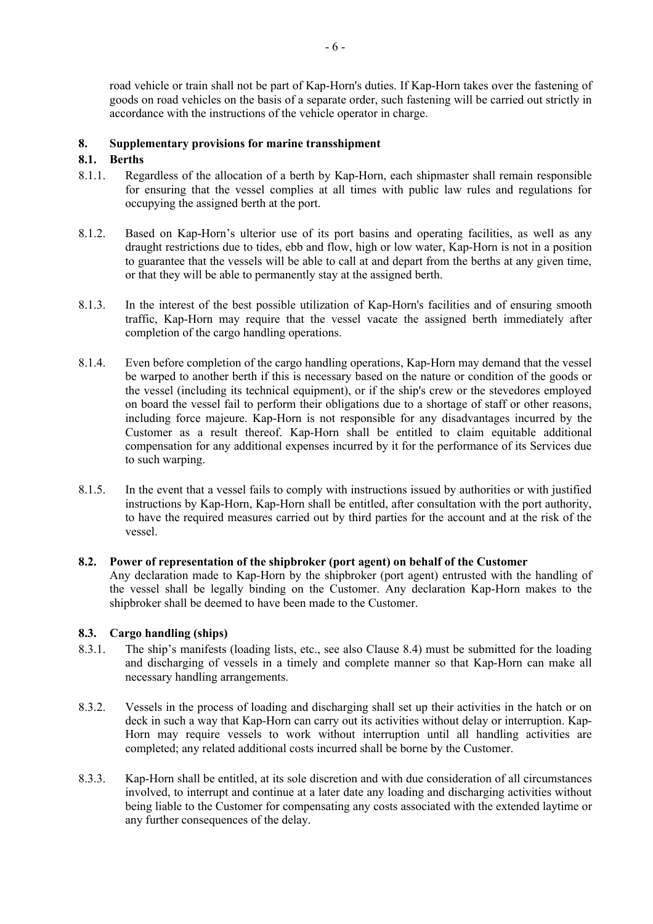road vehicle or train shall not be part of Kap-Horn's duties. If Kap-Horn takes over the fastening of goods on road vehicles on the basis of a separate order, such fastening will be carried out strictly in accordance with the instructions of the vehicle operator in charge.

### **8. Supplementary provisions for marine transshipment**

## **8.1. Berths**

- 8.1.1. Regardless of the allocation of a berth by Kap-Horn, each shipmaster shall remain responsible for ensuring that the vessel complies at all times with public law rules and regulations for occupying the assigned berth at the port.
- 8.1.2. Based on Kap-Horn's ulterior use of its port basins and operating facilities, as well as any draught restrictions due to tides, ebb and flow, high or low water, Kap-Horn is not in a position to guarantee that the vessels will be able to call at and depart from the berths at any given time, or that they will be able to permanently stay at the assigned berth.
- 8.1.3. In the interest of the best possible utilization of Kap-Horn's facilities and of ensuring smooth traffic, Kap-Horn may require that the vessel vacate the assigned berth immediately after completion of the cargo handling operations.
- 8.1.4. Even before completion of the cargo handling operations, Kap-Horn may demand that the vessel be warped to another berth if this is necessary based on the nature or condition of the goods or the vessel (including its technical equipment), or if the ship's crew or the stevedores employed on board the vessel fail to perform their obligations due to a shortage of staff or other reasons, including force majeure. Kap-Horn is not responsible for any disadvantages incurred by the Customer as a result thereof. Kap-Horn shall be entitled to claim equitable additional compensation for any additional expenses incurred by it for the performance of its Services due to such warping.
- 8.1.5. In the event that a vessel fails to comply with instructions issued by authorities or with justified instructions by Kap-Horn, Kap-Horn shall be entitled, after consultation with the port authority, to have the required measures carried out by third parties for the account and at the risk of the vessel.
- **8.2. Power of representation of the shipbroker (port agent) on behalf of the Customer** Any declaration made to Kap-Horn by the shipbroker (port agent) entrusted with the handling of the vessel shall be legally binding on the Customer. Any declaration Kap-Horn makes to the shipbroker shall be deemed to have been made to the Customer.

## **8.3. Cargo handling (ships)**

- 8.3.1. The ship's manifests (loading lists, etc., see also Clause 8.4) must be submitted for the loading and discharging of vessels in a timely and complete manner so that Kap-Horn can make all necessary handling arrangements.
- 8.3.2. Vessels in the process of loading and discharging shall set up their activities in the hatch or on deck in such a way that Kap-Horn can carry out its activities without delay or interruption. Kap-Horn may require vessels to work without interruption until all handling activities are completed; any related additional costs incurred shall be borne by the Customer.
- 8.3.3. Kap-Horn shall be entitled, at its sole discretion and with due consideration of all circumstances involved, to interrupt and continue at a later date any loading and discharging activities without being liable to the Customer for compensating any costs associated with the extended laytime or any further consequences of the delay.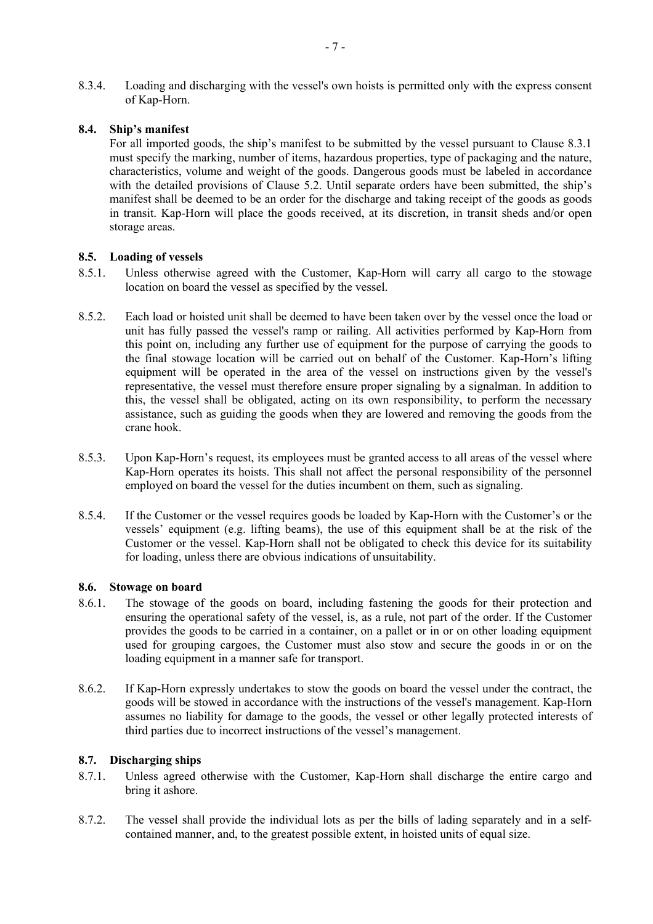8.3.4. Loading and discharging with the vessel's own hoists is permitted only with the express consent of Kap-Horn.

### **8.4. Ship's manifest**

For all imported goods, the ship's manifest to be submitted by the vessel pursuant to Clause 8.3.1 must specify the marking, number of items, hazardous properties, type of packaging and the nature, characteristics, volume and weight of the goods. Dangerous goods must be labeled in accordance with the detailed provisions of Clause 5.2. Until separate orders have been submitted, the ship's manifest shall be deemed to be an order for the discharge and taking receipt of the goods as goods in transit. Kap-Horn will place the goods received, at its discretion, in transit sheds and/or open storage areas.

### **8.5. Loading of vessels**

- 8.5.1. Unless otherwise agreed with the Customer, Kap-Horn will carry all cargo to the stowage location on board the vessel as specified by the vessel.
- 8.5.2. Each load or hoisted unit shall be deemed to have been taken over by the vessel once the load or unit has fully passed the vessel's ramp or railing. All activities performed by Kap-Horn from this point on, including any further use of equipment for the purpose of carrying the goods to the final stowage location will be carried out on behalf of the Customer. Kap-Horn's lifting equipment will be operated in the area of the vessel on instructions given by the vessel's representative, the vessel must therefore ensure proper signaling by a signalman. In addition to this, the vessel shall be obligated, acting on its own responsibility, to perform the necessary assistance, such as guiding the goods when they are lowered and removing the goods from the crane hook.
- 8.5.3. Upon Kap-Horn's request, its employees must be granted access to all areas of the vessel where Kap-Horn operates its hoists. This shall not affect the personal responsibility of the personnel employed on board the vessel for the duties incumbent on them, such as signaling.
- 8.5.4. If the Customer or the vessel requires goods be loaded by Kap-Horn with the Customer's or the vessels' equipment (e.g. lifting beams), the use of this equipment shall be at the risk of the Customer or the vessel. Kap-Horn shall not be obligated to check this device for its suitability for loading, unless there are obvious indications of unsuitability.

### **8.6. Stowage on board**

- 8.6.1. The stowage of the goods on board, including fastening the goods for their protection and ensuring the operational safety of the vessel, is, as a rule, not part of the order. If the Customer provides the goods to be carried in a container, on a pallet or in or on other loading equipment used for grouping cargoes, the Customer must also stow and secure the goods in or on the loading equipment in a manner safe for transport.
- 8.6.2. If Kap-Horn expressly undertakes to stow the goods on board the vessel under the contract, the goods will be stowed in accordance with the instructions of the vessel's management. Kap-Horn assumes no liability for damage to the goods, the vessel or other legally protected interests of third parties due to incorrect instructions of the vessel's management.

### **8.7. Discharging ships**

- 8.7.1. Unless agreed otherwise with the Customer, Kap-Horn shall discharge the entire cargo and bring it ashore.
- 8.7.2. The vessel shall provide the individual lots as per the bills of lading separately and in a selfcontained manner, and, to the greatest possible extent, in hoisted units of equal size.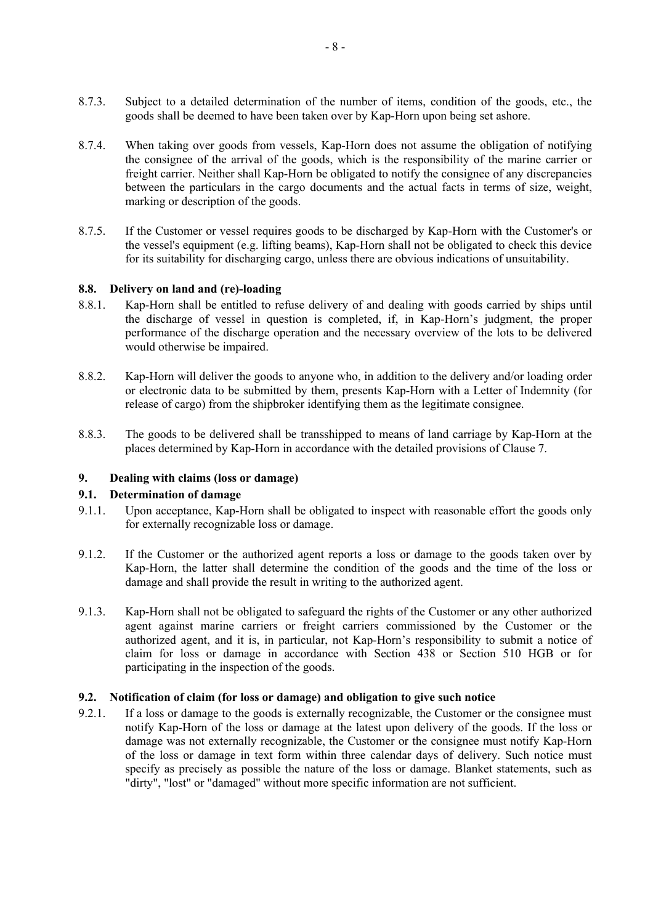- 8.7.3. Subject to a detailed determination of the number of items, condition of the goods, etc., the goods shall be deemed to have been taken over by Kap-Horn upon being set ashore.
- 8.7.4. When taking over goods from vessels, Kap-Horn does not assume the obligation of notifying the consignee of the arrival of the goods, which is the responsibility of the marine carrier or freight carrier. Neither shall Kap-Horn be obligated to notify the consignee of any discrepancies between the particulars in the cargo documents and the actual facts in terms of size, weight, marking or description of the goods.
- 8.7.5. If the Customer or vessel requires goods to be discharged by Kap-Horn with the Customer's or the vessel's equipment (e.g. lifting beams), Kap-Horn shall not be obligated to check this device for its suitability for discharging cargo, unless there are obvious indications of unsuitability.

### **8.8. Delivery on land and (re)-loading**

- 8.8.1. Kap-Horn shall be entitled to refuse delivery of and dealing with goods carried by ships until the discharge of vessel in question is completed, if, in Kap-Horn's judgment, the proper performance of the discharge operation and the necessary overview of the lots to be delivered would otherwise be impaired.
- 8.8.2. Kap-Horn will deliver the goods to anyone who, in addition to the delivery and/or loading order or electronic data to be submitted by them, presents Kap-Horn with a Letter of Indemnity (for release of cargo) from the shipbroker identifying them as the legitimate consignee.
- 8.8.3. The goods to be delivered shall be transshipped to means of land carriage by Kap-Horn at the places determined by Kap-Horn in accordance with the detailed provisions of Clause 7.

### **9. Dealing with claims (loss or damage)**

#### **9.1. Determination of damage**

- 9.1.1. Upon acceptance, Kap-Horn shall be obligated to inspect with reasonable effort the goods only for externally recognizable loss or damage.
- 9.1.2. If the Customer or the authorized agent reports a loss or damage to the goods taken over by Kap-Horn, the latter shall determine the condition of the goods and the time of the loss or damage and shall provide the result in writing to the authorized agent.
- 9.1.3. Kap-Horn shall not be obligated to safeguard the rights of the Customer or any other authorized agent against marine carriers or freight carriers commissioned by the Customer or the authorized agent, and it is, in particular, not Kap-Horn's responsibility to submit a notice of claim for loss or damage in accordance with Section 438 or Section 510 HGB or for participating in the inspection of the goods.

#### **9.2. Notification of claim (for loss or damage) and obligation to give such notice**

9.2.1. If a loss or damage to the goods is externally recognizable, the Customer or the consignee must notify Kap-Horn of the loss or damage at the latest upon delivery of the goods. If the loss or damage was not externally recognizable, the Customer or the consignee must notify Kap-Horn of the loss or damage in text form within three calendar days of delivery. Such notice must specify as precisely as possible the nature of the loss or damage. Blanket statements, such as "dirty", "lost" or "damaged" without more specific information are not sufficient.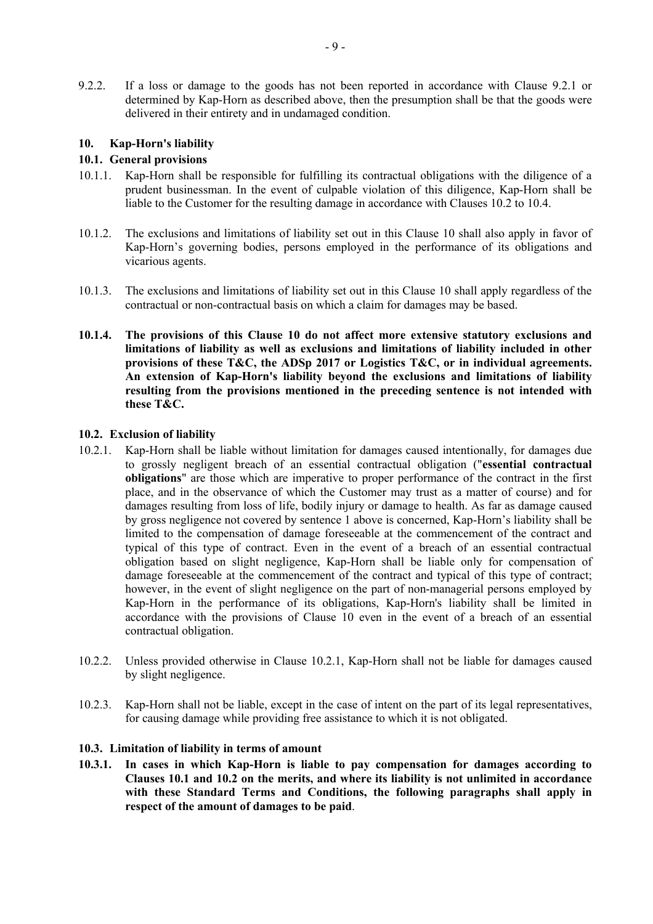9.2.2. If a loss or damage to the goods has not been reported in accordance with Clause 9.2.1 or determined by Kap-Horn as described above, then the presumption shall be that the goods were delivered in their entirety and in undamaged condition.

## **10. Kap-Horn's liability**

### **10.1. General provisions**

- 10.1.1. Kap-Horn shall be responsible for fulfilling its contractual obligations with the diligence of a prudent businessman. In the event of culpable violation of this diligence, Kap-Horn shall be liable to the Customer for the resulting damage in accordance with Clauses 10.2 to 10.4.
- 10.1.2. The exclusions and limitations of liability set out in this Clause 10 shall also apply in favor of Kap-Horn's governing bodies, persons employed in the performance of its obligations and vicarious agents.
- 10.1.3. The exclusions and limitations of liability set out in this Clause 10 shall apply regardless of the contractual or non-contractual basis on which a claim for damages may be based.
- **10.1.4. The provisions of this Clause 10 do not affect more extensive statutory exclusions and limitations of liability as well as exclusions and limitations of liability included in other provisions of these T&C, the ADSp 2017 or Logistics T&C, or in individual agreements. An extension of Kap-Horn's liability beyond the exclusions and limitations of liability resulting from the provisions mentioned in the preceding sentence is not intended with these T&C.**

### **10.2. Exclusion of liability**

- 10.2.1. Kap-Horn shall be liable without limitation for damages caused intentionally, for damages due to grossly negligent breach of an essential contractual obligation ("**essential contractual obligations**" are those which are imperative to proper performance of the contract in the first place, and in the observance of which the Customer may trust as a matter of course) and for damages resulting from loss of life, bodily injury or damage to health. As far as damage caused by gross negligence not covered by sentence 1 above is concerned, Kap-Horn's liability shall be limited to the compensation of damage foreseeable at the commencement of the contract and typical of this type of contract. Even in the event of a breach of an essential contractual obligation based on slight negligence, Kap-Horn shall be liable only for compensation of damage foreseeable at the commencement of the contract and typical of this type of contract; however, in the event of slight negligence on the part of non-managerial persons employed by Kap-Horn in the performance of its obligations, Kap-Horn's liability shall be limited in accordance with the provisions of Clause 10 even in the event of a breach of an essential contractual obligation.
- 10.2.2. Unless provided otherwise in Clause 10.2.1, Kap-Horn shall not be liable for damages caused by slight negligence.
- 10.2.3. Kap-Horn shall not be liable, except in the case of intent on the part of its legal representatives, for causing damage while providing free assistance to which it is not obligated.

### **10.3. Limitation of liability in terms of amount**

**10.3.1. In cases in which Kap-Horn is liable to pay compensation for damages according to Clauses 10.1 and 10.2 on the merits, and where its liability is not unlimited in accordance with these Standard Terms and Conditions, the following paragraphs shall apply in respect of the amount of damages to be paid**.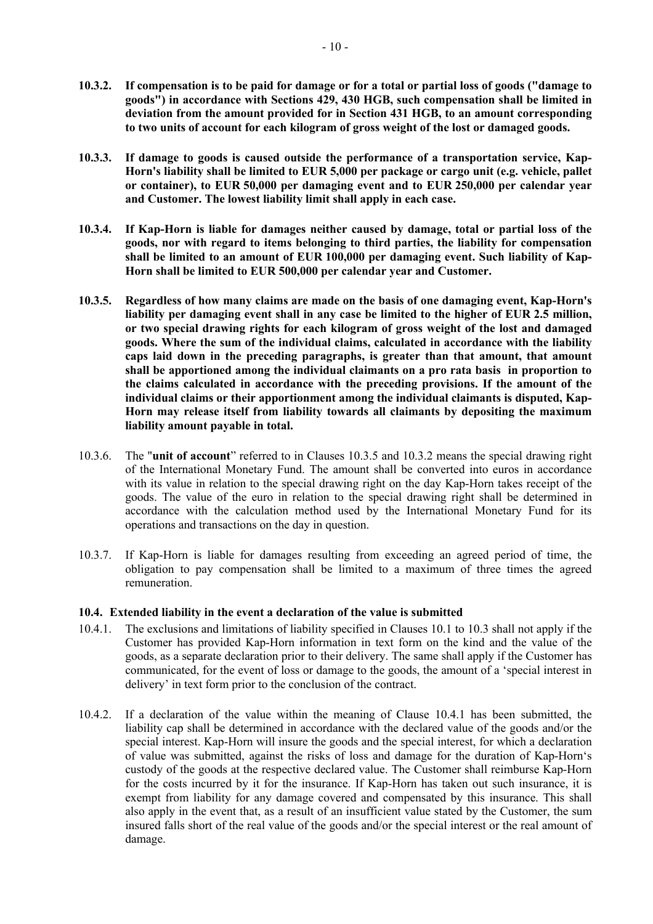- **10.3.2. If compensation is to be paid for damage or for a total or partial loss of goods ("damage to goods") in accordance with Sections 429, 430 HGB, such compensation shall be limited in deviation from the amount provided for in Section 431 HGB, to an amount corresponding to two units of account for each kilogram of gross weight of the lost or damaged goods.**
- **10.3.3. If damage to goods is caused outside the performance of a transportation service, Kap-Horn's liability shall be limited to EUR 5,000 per package or cargo unit (e.g. vehicle, pallet or container), to EUR 50,000 per damaging event and to EUR 250,000 per calendar year and Customer. The lowest liability limit shall apply in each case.**
- **10.3.4. If Kap-Horn is liable for damages neither caused by damage, total or partial loss of the goods, nor with regard to items belonging to third parties, the liability for compensation shall be limited to an amount of EUR 100,000 per damaging event. Such liability of Kap-Horn shall be limited to EUR 500,000 per calendar year and Customer.**
- **10.3.5. Regardless of how many claims are made on the basis of one damaging event, Kap-Horn's liability per damaging event shall in any case be limited to the higher of EUR 2.5 million, or two special drawing rights for each kilogram of gross weight of the lost and damaged goods. Where the sum of the individual claims, calculated in accordance with the liability caps laid down in the preceding paragraphs, is greater than that amount, that amount shall be apportioned among the individual claimants on a pro rata basis in proportion to the claims calculated in accordance with the preceding provisions. If the amount of the individual claims or their apportionment among the individual claimants is disputed, Kap-Horn may release itself from liability towards all claimants by depositing the maximum liability amount payable in total.**
- 10.3.6. The "**unit of account**" referred to in Clauses 10.3.5 and 10.3.2 means the special drawing right of the International Monetary Fund. The amount shall be converted into euros in accordance with its value in relation to the special drawing right on the day Kap-Horn takes receipt of the goods. The value of the euro in relation to the special drawing right shall be determined in accordance with the calculation method used by the International Monetary Fund for its operations and transactions on the day in question.
- 10.3.7. If Kap-Horn is liable for damages resulting from exceeding an agreed period of time, the obligation to pay compensation shall be limited to a maximum of three times the agreed remuneration.

### **10.4. Extended liability in the event a declaration of the value is submitted**

- 10.4.1. The exclusions and limitations of liability specified in Clauses 10.1 to 10.3 shall not apply if the Customer has provided Kap-Horn information in text form on the kind and the value of the goods, as a separate declaration prior to their delivery. The same shall apply if the Customer has communicated, for the event of loss or damage to the goods, the amount of a 'special interest in delivery' in text form prior to the conclusion of the contract.
- 10.4.2. If a declaration of the value within the meaning of Clause 10.4.1 has been submitted, the liability cap shall be determined in accordance with the declared value of the goods and/or the special interest. Kap-Horn will insure the goods and the special interest, for which a declaration of value was submitted, against the risks of loss and damage for the duration of Kap-Horn's custody of the goods at the respective declared value. The Customer shall reimburse Kap-Horn for the costs incurred by it for the insurance. If Kap-Horn has taken out such insurance, it is exempt from liability for any damage covered and compensated by this insurance. This shall also apply in the event that, as a result of an insufficient value stated by the Customer, the sum insured falls short of the real value of the goods and/or the special interest or the real amount of damage.